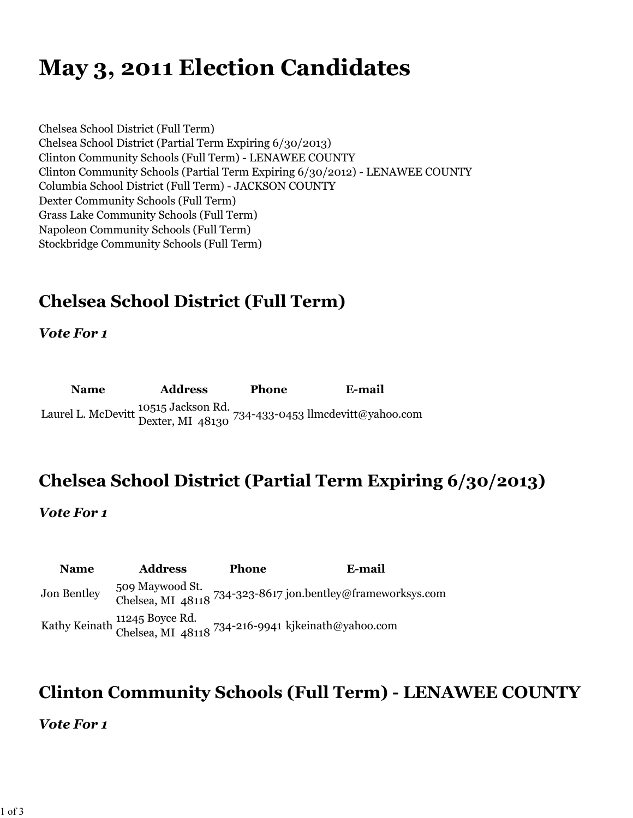# **May 3, 2011 Election Candidates**

Chelsea School District (Full Term) Chelsea School District (Partial Term Expiring 6/30/2013) Clinton Community Schools (Full Term) - LENAWEE COUNTY Clinton Community Schools (Partial Term Expiring 6/30/2012) - LENAWEE COUNTY Columbia School District (Full Term) - JACKSON COUNTY Dexter Community Schools (Full Term) Grass Lake Community Schools (Full Term) Napoleon Community Schools (Full Term) Stockbridge Community Schools (Full Term)

### **Chelsea School District (Full Term)**

*Vote For 1*

**Name Address Phone E-mail** Laurel L. McDevitt 10515 Jackson Rd. Dexter, MI 48130 734-433-0453 llmcdevitt@yahoo.com

#### **Chelsea School District (Partial Term Expiring 6/30/2013)**

*Vote For 1*

**Name Address Phone E-mail** Jon Bentley 509 Maywood St. Chelsea, MI 48118 734-323-8617 jon.bentley@frameworksys.com Kathy Keinath 11245 Boyce Rd. Chelsea, MI 48118 734-216-9941 kjkeinath@yahoo.com

#### **Clinton Community Schools (Full Term) - LENAWEE COUNTY**

*Vote For 1*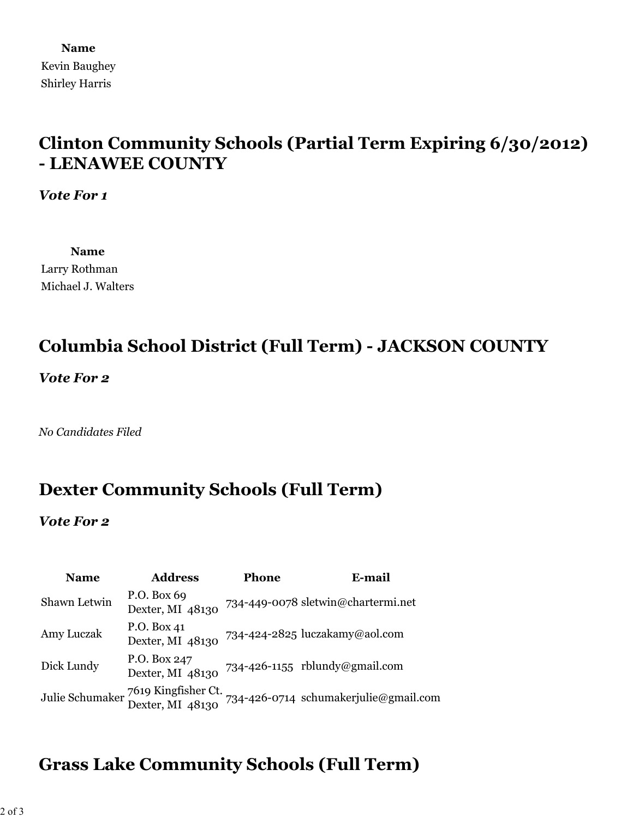**Name** Kevin Baughey Shirley Harris

#### **Clinton Community Schools (Partial Term Expiring 6/30/2012) - LENAWEE COUNTY**

*Vote For 1*

**Name** Larry Rothman Michael J. Walters

#### **Columbia School District (Full Term) - JACKSON COUNTY**

*Vote For 2*

*No Candidates Filed*

#### **Dexter Community Schools (Full Term)**

*Vote For 2*

| <b>Name</b>  | <b>Address</b>                                          | <b>Phone</b> | E-mail                                |
|--------------|---------------------------------------------------------|--------------|---------------------------------------|
| Shawn Letwin | P.O. Box 69<br>Dexter, MI 48130                         |              | 734-449-0078 sletwin@chartermi.net    |
| Amy Luczak   | P.O. Box 41<br>Dexter, MI 48130                         |              | 734-424-2825 luczakamy@aol.com        |
| Dick Lundy   | P.O. Box 247<br>Dexter, MI 48130                        |              | 734-426-1155 rblundy@gmail.com        |
|              | Julie Schumaker 7619 Kingfisher Ct.<br>Dexter, MI 48130 |              | 734-426-0714 schumakerjulie@gmail.com |

### **Grass Lake Community Schools (Full Term)**